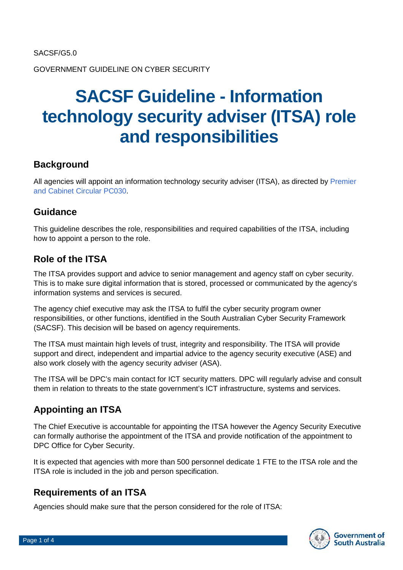GOVERNMENT GUIDELINE ON CYBER SECURITY

# **SACSF Guideline - Information technology security adviser (ITSA) role and responsibilities**

## **Background**

All agencies will appoint an information technology security adviser (ITSA), as directed by Premier [and Cabinet Circular PC030.](https://www.dpc.sa.gov.au/resources-and-publications/premier-and-cabinet-circulars)

## **Guidance**

This guideline describes the role, responsibilities and required capabilities of the ITSA, including how to appoint a person to the role.

## **Role of the ITSA**

The ITSA provides support and advice to senior management and agency staff on cyber security. This is to make sure digital information that is stored, processed or communicated by the agency's information systems and services is secured.

The agency chief executive may ask the ITSA to fulfil the cyber security program owner responsibilities, or other functions, identified in the South Australian Cyber Security Framework (SACSF). This decision will be based on agency requirements.

The ITSA must maintain high levels of trust, integrity and responsibility. The ITSA will provide support and direct, independent and impartial advice to the agency security executive (ASE) and also work closely with the agency security adviser (ASA).

The ITSA will be DPC's main contact for ICT security matters. DPC will regularly advise and consult them in relation to threats to the state government's ICT infrastructure, systems and services.

# **Appointing an ITSA**

The Chief Executive is accountable for appointing the ITSA however the Agency Security Executive can formally authorise the appointment of the ITSA and provide notification of the appointment to DPC Office for Cyber Security.

It is expected that agencies with more than 500 personnel dedicate 1 FTE to the ITSA role and the ITSA role is included in the job and person specification.

## **Requirements of an ITSA**

Agencies should make sure that the person considered for the role of ITSA:

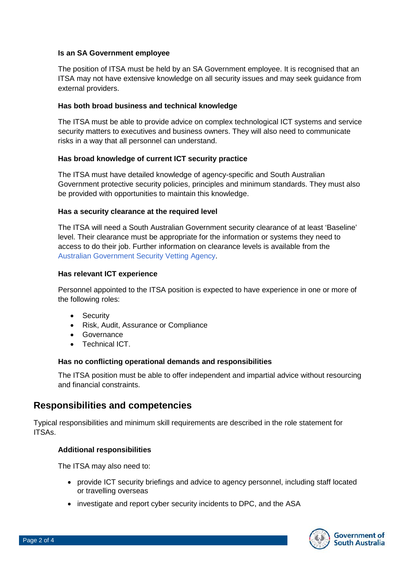#### **Is an SA Government employee**

The position of ITSA must be held by an SA Government employee. It is recognised that an ITSA may not have extensive knowledge on all security issues and may seek guidance from external providers.

#### **Has both broad business and technical knowledge**

The ITSA must be able to provide advice on complex technological ICT systems and service security matters to executives and business owners. They will also need to communicate risks in a way that all personnel can understand.

#### **Has broad knowledge of current ICT security practice**

The ITSA must have detailed knowledge of agency-specific and South Australian Government protective security policies, principles and minimum standards. They must also be provided with opportunities to maintain this knowledge.

#### **Has a security clearance at the required level**

The ITSA will need a South Australian Government security clearance of at least 'Baseline' level. Their clearance must be appropriate for the information or systems they need to access to do their job. Further information on clearance levels is available from the [Australian Government Security Vetting Agency.](https://www.defence.gov.au/AGSVA/)

#### **Has relevant ICT experience**

Personnel appointed to the ITSA position is expected to have experience in one or more of the following roles:

- Security
- Risk, Audit, Assurance or Compliance
- Governance
- Technical ICT.

#### **Has no conflicting operational demands and responsibilities**

The ITSA position must be able to offer independent and impartial advice without resourcing and financial constraints.

### **Responsibilities and competencies**

Typical responsibilities and minimum skill requirements are described in the role statement for ITSAs.

#### **Additional responsibilities**

The ITSA may also need to:

- provide ICT security briefings and advice to agency personnel, including staff located or travelling overseas
- investigate and report cyber security incidents to DPC, and the ASA

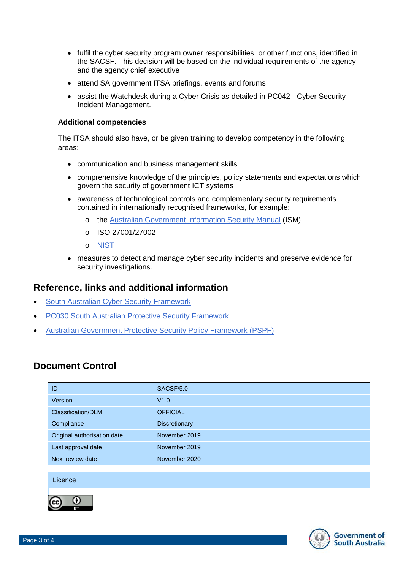- fulfil the cyber security program owner responsibilities, or other functions, identified in the SACSF. This decision will be based on the individual requirements of the agency and the agency chief executive
- attend SA government ITSA briefings, events and forums
- assist the Watchdesk during a Cyber Crisis as detailed in PC042 Cyber Security Incident Management.

#### **Additional competencies**

The ITSA should also have, or be given training to develop competency in the following areas:

- communication and business management skills
- comprehensive knowledge of the principles, policy statements and expectations which govern the security of government ICT systems
- awareness of technological controls and complementary security requirements contained in internationally recognised frameworks, for example:
	- o the [Australian Government Information Security Manual](https://www.cyber.gov.au/ism) (ISM)
	- o ISO 27001/27002
	- o [NIST](https://www.nist.gov/cyberframework/framework)
- measures to detect and manage cyber security incidents and preserve evidence for security investigations.

## **Reference, links and additional information**

- [South Australian Cyber Security Framework](https://www.dpc.sa.gov.au/responsibilities/protective-security-framework/cyber-security/the-sacsf)
- [PC030 South Australian Protective Security Framework](https://dpc.sa.gov.au/resources-and-publications/premier-and-cabinet-circulars)
- [Australian Government Protective Security Policy Framework \(PSPF\)](http://www.protectivesecurity.gov.au/)

## **Document Control**

| ID                          | SACSF/5.0       |
|-----------------------------|-----------------|
| Version                     | V1.0            |
| Classification/DLM          | <b>OFFICIAL</b> |
| Compliance                  | Discretionary   |
| Original authorisation date | November 2019   |
| Last approval date          | November 2019   |
| Next review date            | November 2020   |
|                             |                 |
| Licence                     |                 |
| Ω<br>BY                     |                 |